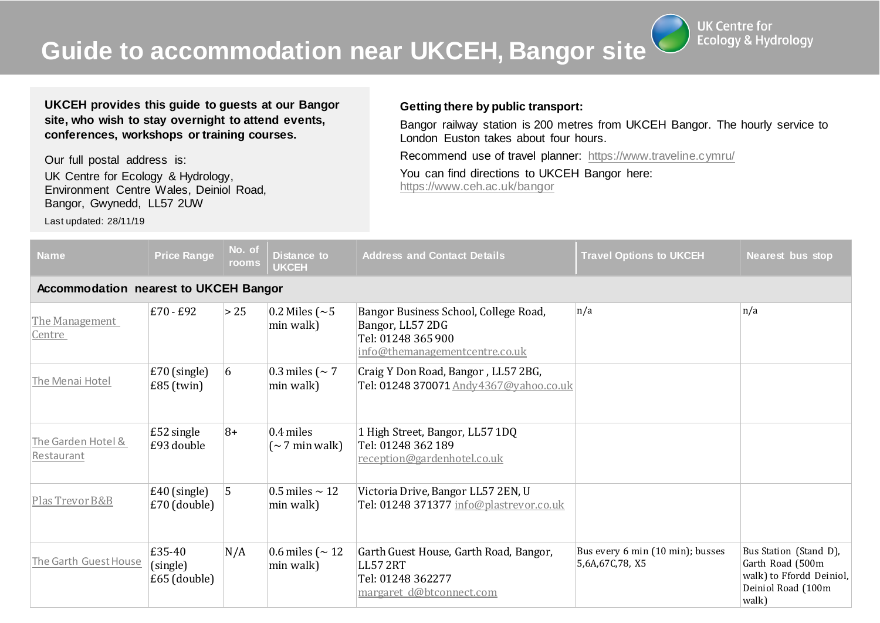**Guide to accommodation near UKCEH, Bangor site**

**UK Centre for Ecology & Hydrology** 

**UKCEH provides this guide to guests at our Bangor site, who wish to stay overnight to attend events, conferences, workshops or training courses.**

Our full postal address is: UK Centre for Ecology & Hydrology, Environment Centre Wales, Deiniol Road, Bangor, Gwynedd, LL57 2UW

Last updated: 28/11/19

## **Getting there by public transport:**

Bangor railway station is 200 metres from UKCEH Bangor. The hourly service to London Euston takes about four hours.

Recommend use of travel planner: <https://www.traveline.cymru/>

You can find directions to UKCEH Bangor here: <https://www.ceh.ac.uk/bangor>

| <b>Name</b>                                  | <b>Price Range</b>                   | No. of<br>rooms | Distance to<br><b>UKCEH</b>              | <b>Address and Contact Details</b>                                                                                | <b>Travel Options to UKCEH</b>                      | Nearest bus stop                                                                                      |  |  |
|----------------------------------------------|--------------------------------------|-----------------|------------------------------------------|-------------------------------------------------------------------------------------------------------------------|-----------------------------------------------------|-------------------------------------------------------------------------------------------------------|--|--|
| <b>Accommodation nearest to UKCEH Bangor</b> |                                      |                 |                                          |                                                                                                                   |                                                     |                                                                                                       |  |  |
| The Management<br>Centre                     | £70 - £92                            | > 25            | 0.2 Miles ( $\sim$ 5<br>min walk)        | Bangor Business School, College Road,<br>Bangor, LL57 2DG<br>Tel: 01248 365 900<br>info@themanagementcentre.co.uk | n/a                                                 | n/a                                                                                                   |  |  |
| The Menai Hotel                              | $£70$ (single)<br>$E85$ (twin)       | 6               | 0.3 miles ( $\sim$ 7<br>min walk)        | Craig Y Don Road, Bangor, LL57 2BG,<br>Tel: 01248 370071 Andy4367@yahoo.co.uk                                     |                                                     |                                                                                                       |  |  |
| The Garden Hotel &<br>Restaurant             | $£52$ single<br>£93 double           | $8+$            | 0.4 miles<br>$(\sim 7 \text{ min walk})$ | 1 High Street, Bangor, LL57 1DQ<br>Tel: 01248 362 189<br>reception@gardenhotel.co.uk                              |                                                     |                                                                                                       |  |  |
| Plas Trevor B&B                              | $\pm 40$ (single)<br>$£70$ (double)  | 5               | 0.5 miles $\sim$ 12<br>min walk)         | Victoria Drive, Bangor LL57 2EN, U<br>Tel: 01248 371377 info@plastrevor.co.uk                                     |                                                     |                                                                                                       |  |  |
| The Garth Guest House                        | £35-40<br>(single)<br>$£65$ (double) | N/A             | 0.6 miles ( $\sim$ 12<br>min walk)       | Garth Guest House, Garth Road, Bangor,<br><b>LL57 2RT</b><br>Tel: 01248 362277<br>margaret d@btconnect.com        | Bus every 6 min (10 min); busses<br>5,6A,67C,78, X5 | Bus Station (Stand D),<br>Garth Road (500m<br>walk) to Ffordd Deiniol,<br>Deiniol Road (100m<br>walk) |  |  |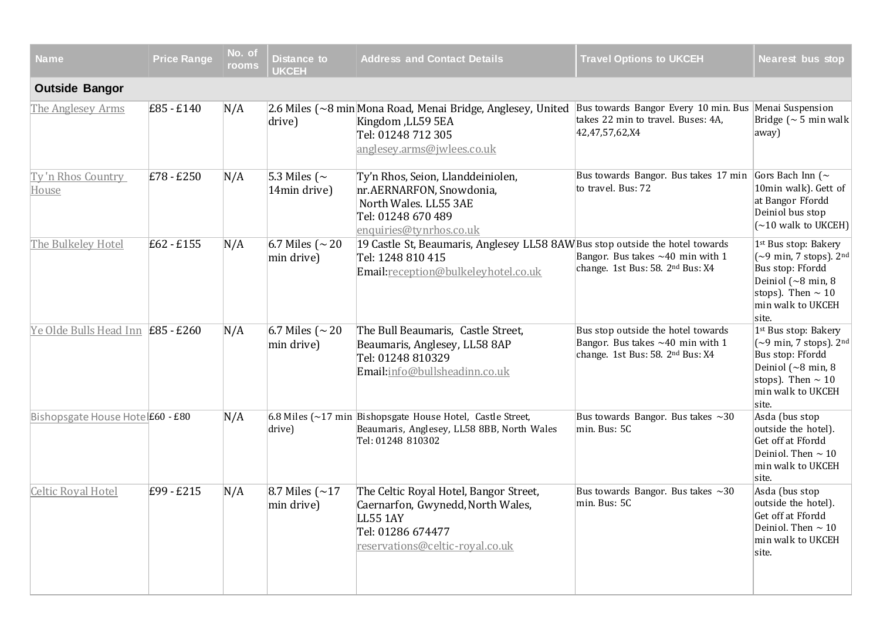| <b>Name</b>                              | <b>Price Range</b> | No. of<br>rooms | Distance to<br><b>UKCEH</b>         | <b>Address and Contact Details</b>                                                                                                              | <b>Travel Options to UKCEH</b>                                                                                          | <b>Nearest bus stop</b>                                                                                                                                                          |  |  |  |
|------------------------------------------|--------------------|-----------------|-------------------------------------|-------------------------------------------------------------------------------------------------------------------------------------------------|-------------------------------------------------------------------------------------------------------------------------|----------------------------------------------------------------------------------------------------------------------------------------------------------------------------------|--|--|--|
| <b>Outside Bangor</b>                    |                    |                 |                                     |                                                                                                                                                 |                                                                                                                         |                                                                                                                                                                                  |  |  |  |
| The Anglesey Arms                        | $E85 - E140$       | N/A             | drive)                              | 2.6 Miles (~8 min Mona Road, Menai Bridge, Anglesey, United<br>Kingdom ,LL59 5EA<br>Tel: 01248 712 305<br>anglesey.arms@jwlees.co.uk            | Bus towards Bangor Every 10 min. Bus Menai Suspension<br>takes 22 min to travel. Buses: 4A,<br>42,47,57,62,X4           | Bridge ( $\sim$ 5 min walk<br>away)                                                                                                                                              |  |  |  |
| Ty'n Rhos Country<br><b>House</b>        | $E78 - E250$       | N/A             | 5.3 Miles ( $\sim$<br>14min drive)  | Ty'n Rhos, Seion, Llanddeiniolen,<br>nr.AERNARFON, Snowdonia,<br>North Wales. LL55 3AE<br>Tel: 01248 670 489<br>enquiries@tynrhos.co.uk         | Bus towards Bangor. Bus takes 17 min Gors Bach Inn ( $\sim$<br>to travel. Bus: 72                                       | 10min walk). Gett of<br>at Bangor Ffordd<br>Deiniol bus stop<br>$(\sim 10$ walk to UKCEH)                                                                                        |  |  |  |
| The Bulkeley Hotel                       | $E62 - E155$       | N/A             | 6.7 Miles ( $\sim$ 20<br>min drive) | 19 Castle St, Beaumaris, Anglesey LL58 8AW Bus stop outside the hotel towards<br>Tel: 1248 810 415<br>Email:reception@bulkeleyhotel.co.uk       | Bangor. Bus takes $~1$ min with 1<br>change. 1st Bus: 58. 2 <sup>nd</sup> Bus: X4                                       | 1st Bus stop: Bakery<br>$~[-9$ min, 7 stops). $2nd$<br>Bus stop: Ffordd<br>Deiniol ( $\sim$ 8 min, 8<br>stops). Then $\sim 10$<br>min walk to UKCEH<br>site.                     |  |  |  |
| Ye Olde Bulls Head Inn <b>£85 - £260</b> |                    | N/A             | 6.7 Miles ( $\sim$ 20<br>min drive) | The Bull Beaumaris, Castle Street,<br>Beaumaris, Anglesey, LL58 8AP<br>Tel: 01248 810329<br>Email:info@bullsheadinn.co.uk                       | Bus stop outside the hotel towards<br>Bangor. Bus takes $~1$ min with 1<br>change. 1st Bus: 58. 2 <sup>nd</sup> Bus: X4 | 1 <sup>st</sup> Bus stop: Bakery<br>$\sim$ 9 min, 7 stops). 2nd<br>Bus stop: Ffordd<br>Deiniol $({\sim}8 \text{ min}, 8$<br>stops). Then $\sim 10$<br>min walk to UKCEH<br>site. |  |  |  |
| Bishopsgate House Hote £60 - £80         |                    | N/A             | drive)                              | 6.8 Miles ( $\sim$ 17 min Bishopsgate House Hotel, Castle Street,<br>Beaumaris, Anglesey, LL58 8BB, North Wales<br>Tel: 01248 810302            | Bus towards Bangor. Bus takes $\sim$ 30<br>min. Bus: 5C                                                                 | Asda (bus stop<br>outside the hotel).<br>Get off at Ffordd<br>Deiniol. Then $\sim$ 10<br>min walk to UKCEH<br>site.                                                              |  |  |  |
| <b>Celtic Royal Hotel</b>                | $E99 - E215$       | N/A             | 8.7 Miles $\sim$ 17<br>min drive)   | The Celtic Royal Hotel, Bangor Street,<br>Caernarfon, Gwynedd, North Wales,<br>LL55 1AY<br>Tel: 01286 674477<br>reservations@celtic-royal.co.uk | Bus towards Bangor. Bus takes $\sim$ 30<br>min. Bus: 5C                                                                 | Asda (bus stop<br>outside the hotel).<br>Get off at Ffordd<br>Deiniol. Then $\sim$ 10<br>min walk to UKCEH<br>site.                                                              |  |  |  |